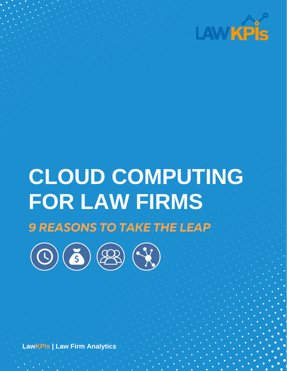

# **CLOUD COMPUTING FOR LAW FIRMS** 9 REASONS TO TAKE THE LEAP



**LawKPIs | Law Firm Analytics**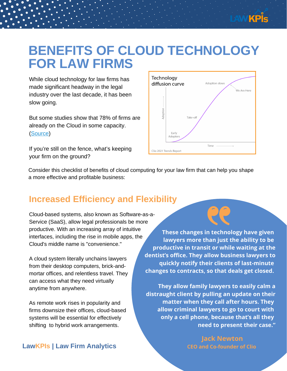

### **BENEFITS OF CLOUD TECHNOLOGY FOR LAW FIRMS**

While cloud technology for law firms has made significant headway in the legal industry over the last decade, it has been slow going.

But some studies show that 78% of firms are already on the Cloud in some capacity. [\(Source](https://www.law.com/legaltechnews/2019/08/14/firms-are-embracing-the-cloud-but-did-clients-get-the-memo/?slreturn=20211009134912))

If you're still on the fence, what's keeping your firm on the ground?



Consider this checklist of benefits of cloud computing for your law firm that can help you shape a more effective and profitable business:

#### **Increased Efficiency and Flexibility**

Cloud-based systems, also known as Software-as-a-Service (SaaS), allow legal professionals be more productive. With an increasing array of intuitive interfaces, including the rise in mobile apps, the Cloud's middle name is "convenience."

A cloud system literally unchains lawyers from their desktop computers, brick-andmortar offices, and relentless travel. They can access what they need virtually anytime from anywhere.

As remote work rises in popularity and firms downsize their offices, cloud-based systems will be essential for effectively shifting to hybrid work arrangements.

**These changes in technology have given lawyers more than just the ability to be productive in transit or while waiting at the dentist's office. They allow business lawyers to quickly notify their clients of last-minute changes to contracts, so that deals get closed.**

**They allow family lawyers to easily calm a distraught client by pulling an update on their matter when they call after hours. They allow criminal lawyers to go to court with only a cell phone, because that's all they need to present their case."**

> **Jack [Newton](https://www.clio.com/about/team/jack-newton/) CEO and Co-founder of Clio**

#### **LawKPIs | Law Firm Analytics**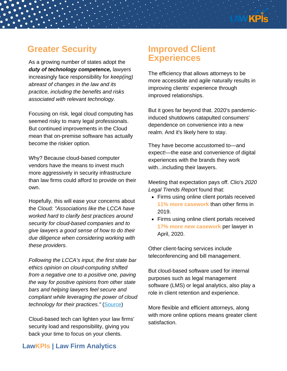### **Greater Security**

As a [growing](https://www.clio.com/blog/legal-cloud-computing-now/) number of states adopt the *duty of technology [competence,](https://www.clio.com/blog/legal-cloud-computing-now/)* lawyers increasingly face [responsibility](https://www.clio.com/blog/legal-cloud-computing-now/) for *keep(ing) abreast of changes in the law and its practice, including the benefits and risks associated with relevant technology.*

Focusing on risk, legal cloud [computing](https://www.clio.com/blog/legal-cloud-computing-now/) has seemed risky to many legal professionals. But continued improvements in the Cloud mean that on-premise software has actually become the riskier option.

Why? Because cloud-based computer vendors have the means to invest much more aggressively in security infrastructure than law firms could afford to provide on their own.

Hopefully, this will ease your concerns about the Cloud: *"Associations like the LCCA have worked hard to clarify best practices around security for cloud-based companies and to give lawyers a good sense of how to do their due diligence when considering working with these providers.*

*Following the LCCA's input, the first state bar ethics opinion on cloud-computing shifted from a negative one to a positive one, paving the way for positive opinions from other state bars and helping lawyers feel secure and compliant while leveraging the power of cloud technology for their practices."* [\(Source\)](https://www.lexology.com/library/detail.aspx?g=f684d7f8-2382-4950-99b9-09276d1580b1)

Cloud-based tech can lighten your law firms' security load and responsibility, giving you back your time to focus on your clients.

#### **Improved Client Experiences**

The efficiency that allows attorneys to be more accessible and agile naturally results in improving clients' experience through improved relationships.

But it goes far beyond that. 2020's pandemicinduced shutdowns catapulted consumers' dependence on convenience into a new realm. And it's likely here to stay.

They have become accustomed to—and expect!—the ease and convenience of digital experiences with the brands they work with...including their lawyers.

Meeting that [expectation](https://www.clio.com/resources/legal-trends/2020-report/) pays off. Clio's *2020 Legal Trends Report* [f](https://www.clio.com/resources/legal-trends/2020-report/)ound that:

- Firms using online client portals received **11% more casework** than other firms in 2019.
- Firms using online client portals received **17% more new casework** per lawyer in April, 2020.

Other client-facing services include teleconferencing and bill management.

But cloud-based software used for internal purposes such as legal management software (LMS) or legal analytics, also play a role in client retention and experience.

More flexible and efficient attorneys, along with more online options means greater client satisfaction.

#### **LawKPIs | Law Firm Analytics**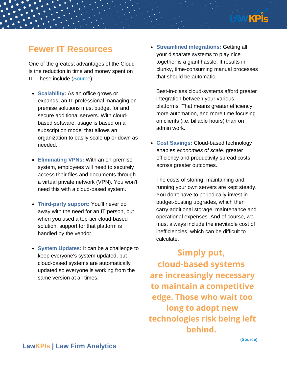

#### **Fewer IT Resources**

One of the greatest advantages of the Cloud is the reduction in time and money spent on IT. These include [\(Source\):](https://www.clio.com/blog/cloud-law-firm-it-professionals/)

- **Scalability:** As an office grows or expands, an IT professional managing onpremise solutions must budget for and secure additional servers. With cloudbased software, usage is based on a subscription model that allows an organization to easily scale up or down as needed.
- **Eliminating VPNs:** With an on-premise system, employees will need to securely access their files and documents through a virtual private network (VPN). You won't need this with a cloud-based system.
- **Third-party support:** You'll never do away with the need for an IT person, but when you used a top-tier cloud-based solution, support for that platform is handled by the vendor.
- **System Updates:** It can be a challenge to keep everyone's system updated, but cloud-based systems are automatically updated so everyone is working from the same version at all times.

**Streamlined integrations:** Getting all your disparate systems to play nice together is a giant hassle. It results in clunky, time-consuming manual processes that should be automatic.

Best-in-class cloud-systems afford greater integration between your various platforms. That means greater efficiency, more automation, and more time focusing on clients (i.e. billable hours) than on admin work.

**Cost Savings:** Cloud-based technology enables *economies of scale:* greater efficiency and productivity spread costs across greater outcomes.

The costs of storing, maintaining and running your own servers are kept steady. You don't have to periodically invest in budget-busting upgrades, which then carry additional storage, maintenance and operational expenses. And of course, we must always include the inevitable cost of inefficiencies, which can be difficult to calculate.

**Simply put, cloud-based systems are increasingly necessary to maintain a competitive edge. Those who wait too long to adopt new technologies risk being left behind.**

**(Source)**